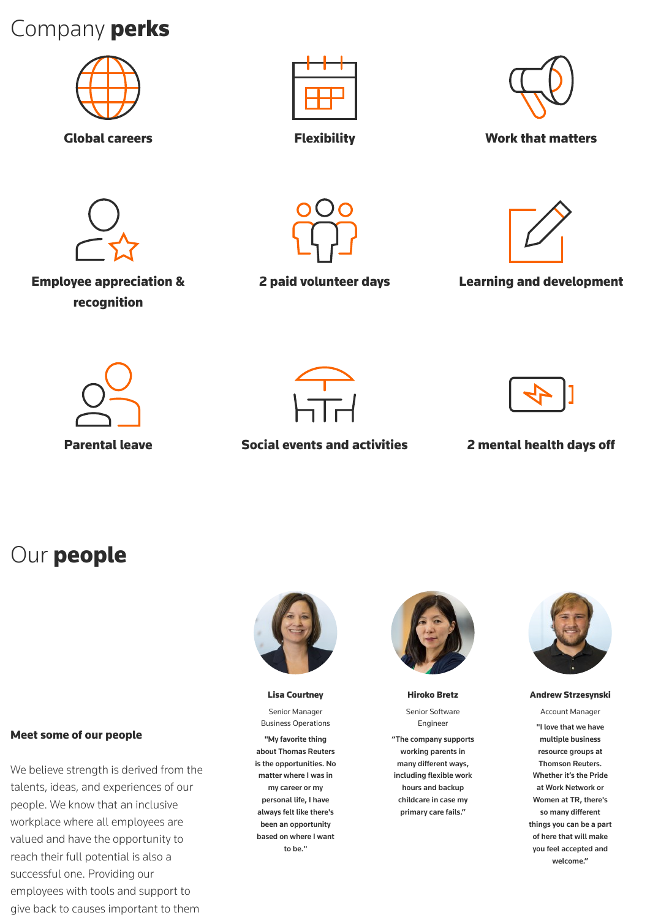# Company perks







Global careers **Flexibility Flexibility Work that matters** 



Employee appreciation & recognition





2 paid volunteer days Learning and development





Parental leave **Social events and activities** 2 mental health days off



## Our people







### Meet some of our people

We believe strength is derived from the talents, ideas, and experiences of our people. We know that an inclusive workplace where all employees are valued and have the opportunity to reach their full potential is also a successful one. Providing our employees with tools and support to give back to causes important to them

#### Lisa Courtney

Senior Manager Business Operations

"My favorite thing about Thomas Reuters is the opportunities. No matter where I was in my career or my personal life, I have always felt like there's been an opportunity based on where I want to be."

Hiroko Bretz

Senior Software Engineer

"The company supports working parents in many different ways, including flexible work hours and backup childcare in case my primary care fails."

#### Andrew Strzesynski

Account Manager "I love that we have multiple business resource groups at Thomson Reuters. Whether it's the Pride at Work Network or Women at TR, there's so many different things you can be a part of here that will make you feel accepted and welcome."